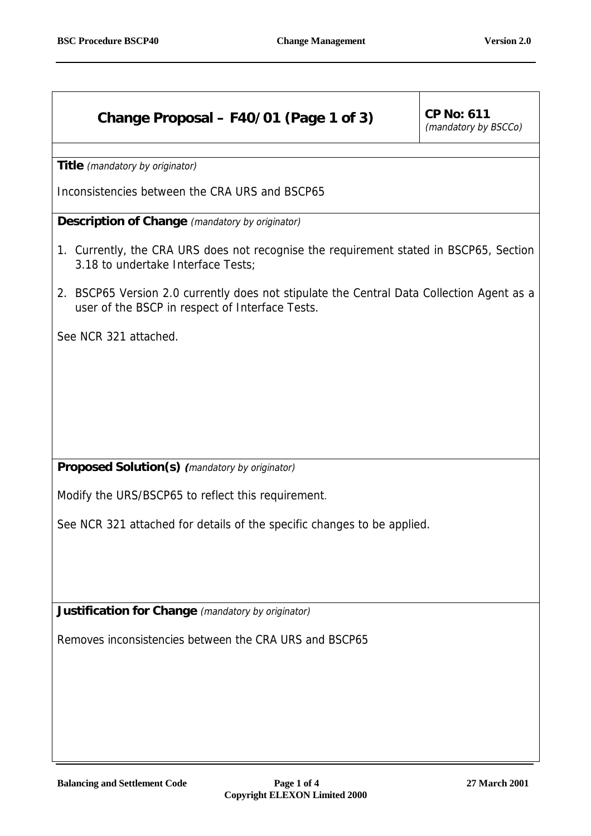## **Change Proposal – F40/01 (Page 1 of 3)**  $\vert$  CP No: 611

(mandatory by BSCCo)

**Title** (mandatory by originator)

Inconsistencies between the CRA URS and BSCP65

**Description of Change** (mandatory by originator)

- 1. Currently, the CRA URS does not recognise the requirement stated in BSCP65, Section 3.18 to undertake Interface Tests;
- 2. BSCP65 Version 2.0 currently does not stipulate the Central Data Collection Agent as a user of the BSCP in respect of Interface Tests.

See NCR 321 attached.

**Proposed Solution(s) (**mandatory by originator)

Modify the URS/BSCP65 to reflect this requirement.

See NCR 321 attached for details of the specific changes to be applied.

**Justification for Change** (mandatory by originator)

Removes inconsistencies between the CRA URS and BSCP65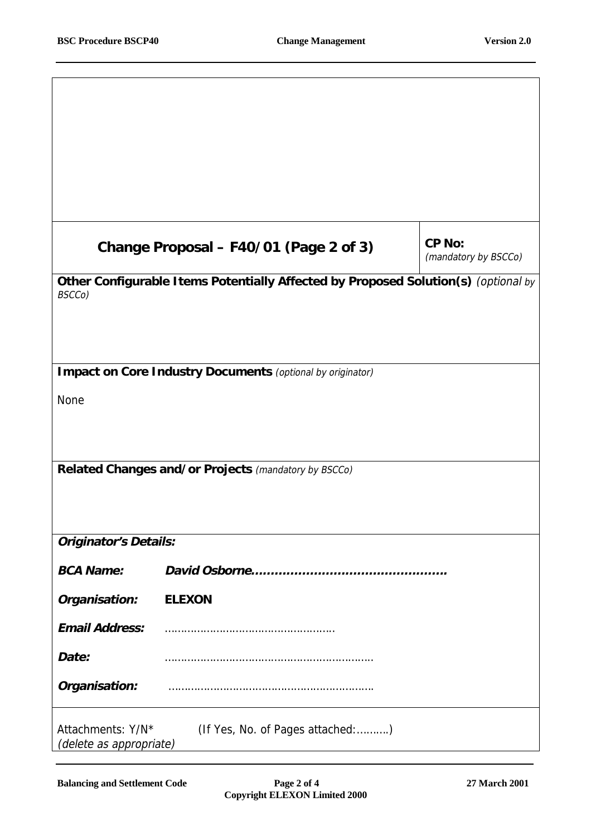$\overline{1}$ 

٦

|                                                                                  | Change Proposal - F40/01 (Page 2 of 3)                                             | CP No:<br>(mandatory by BSCCo) |  |  |
|----------------------------------------------------------------------------------|------------------------------------------------------------------------------------|--------------------------------|--|--|
| BSCCo)                                                                           | Other Configurable Items Potentially Affected by Proposed Solution(s) (optional by |                                |  |  |
|                                                                                  |                                                                                    |                                |  |  |
|                                                                                  |                                                                                    |                                |  |  |
|                                                                                  | Impact on Core Industry Documents (optional by originator)                         |                                |  |  |
| <b>None</b>                                                                      |                                                                                    |                                |  |  |
|                                                                                  |                                                                                    |                                |  |  |
|                                                                                  | Related Changes and/or Projects (mandatory by BSCCo)                               |                                |  |  |
|                                                                                  |                                                                                    |                                |  |  |
|                                                                                  |                                                                                    |                                |  |  |
| <b>Originator's Details:</b>                                                     |                                                                                    |                                |  |  |
| <b>BCA Name:</b>                                                                 |                                                                                    |                                |  |  |
| Organisation:                                                                    | <b>ELEXON</b>                                                                      |                                |  |  |
| <b>Email Address:</b>                                                            |                                                                                    |                                |  |  |
| Date:                                                                            |                                                                                    |                                |  |  |
| Organisation:                                                                    |                                                                                    |                                |  |  |
| (If Yes, No. of Pages attached:)<br>Attachments: Y/N*<br>(delete as appropriate) |                                                                                    |                                |  |  |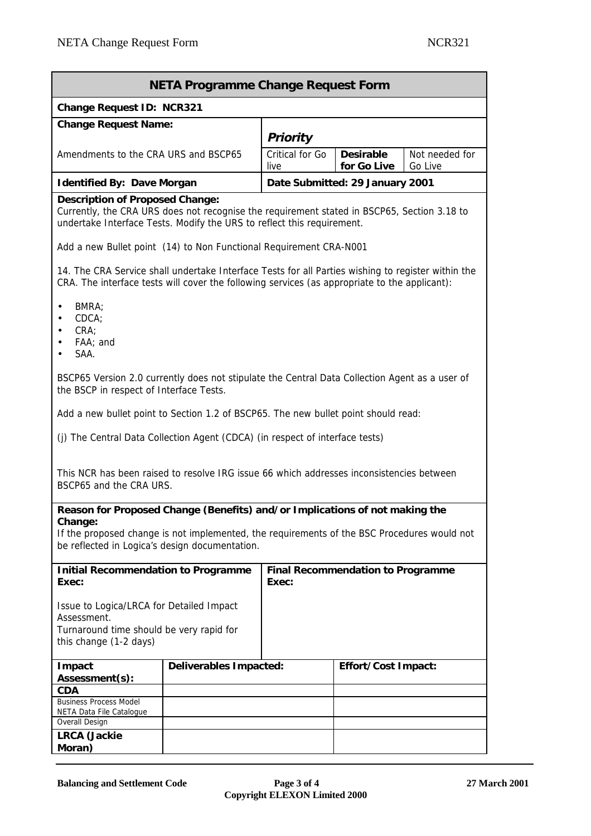| <b>NETA Programme Change Request Form</b>                                                                                                                                                                                               |                        |                                                   |                                 |                           |  |  |
|-----------------------------------------------------------------------------------------------------------------------------------------------------------------------------------------------------------------------------------------|------------------------|---------------------------------------------------|---------------------------------|---------------------------|--|--|
| Change Request ID: NCR321                                                                                                                                                                                                               |                        |                                                   |                                 |                           |  |  |
| <b>Change Request Name:</b>                                                                                                                                                                                                             |                        | Priority                                          |                                 |                           |  |  |
| Amendments to the CRA URS and BSCP65                                                                                                                                                                                                    |                        | Critical for Go<br>live                           | <b>Desirable</b><br>for Go Live | Not needed for<br>Go Live |  |  |
| <b>Identified By: Dave Morgan</b>                                                                                                                                                                                                       |                        | Date Submitted: 29 January 2001                   |                                 |                           |  |  |
| <b>Description of Proposed Change:</b><br>Currently, the CRA URS does not recognise the requirement stated in BSCP65, Section 3.18 to<br>undertake Interface Tests. Modify the URS to reflect this requirement.                         |                        |                                                   |                                 |                           |  |  |
| Add a new Bullet point (14) to Non Functional Requirement CRA-N001                                                                                                                                                                      |                        |                                                   |                                 |                           |  |  |
| 14. The CRA Service shall undertake Interface Tests for all Parties wishing to register within the<br>CRA. The interface tests will cover the following services (as appropriate to the applicant):                                     |                        |                                                   |                                 |                           |  |  |
| BMRA:<br>CDCA<br>CRA<br>FAA; and<br>SAA.                                                                                                                                                                                                |                        |                                                   |                                 |                           |  |  |
| BSCP65 Version 2.0 currently does not stipulate the Central Data Collection Agent as a user of<br>the BSCP in respect of Interface Tests.                                                                                               |                        |                                                   |                                 |                           |  |  |
| Add a new bullet point to Section 1.2 of BSCP65. The new bullet point should read:                                                                                                                                                      |                        |                                                   |                                 |                           |  |  |
| (j) The Central Data Collection Agent (CDCA) (in respect of interface tests)                                                                                                                                                            |                        |                                                   |                                 |                           |  |  |
| This NCR has been raised to resolve IRG issue 66 which addresses inconsistencies between<br>BSCP65 and the CRA URS.                                                                                                                     |                        |                                                   |                                 |                           |  |  |
| Reason for Proposed Change (Benefits) and/or Implications of not making the<br>Change:<br>If the proposed change is not implemented, the requirements of the BSC Procedures would not<br>be reflected in Logica's design documentation. |                        |                                                   |                                 |                           |  |  |
| <b>Initial Recommendation to Programme</b><br>Exec:                                                                                                                                                                                     |                        | <b>Final Recommendation to Programme</b><br>Exec: |                                 |                           |  |  |
| Issue to Logica/LRCA for Detailed Impact<br>Assessment.<br>Turnaround time should be very rapid for<br>this change (1-2 days)                                                                                                           |                        |                                                   |                                 |                           |  |  |
| Impact<br>Assessment(s):                                                                                                                                                                                                                | Deliverables Impacted: |                                                   | Effort/Cost Impact:             |                           |  |  |
| <b>CDA</b>                                                                                                                                                                                                                              |                        |                                                   |                                 |                           |  |  |
| <b>Business Process Model</b><br>NETA Data File Catalogue                                                                                                                                                                               |                        |                                                   |                                 |                           |  |  |
| Overall Design                                                                                                                                                                                                                          |                        |                                                   |                                 |                           |  |  |
| <b>LRCA</b> (Jackie<br>Moran)                                                                                                                                                                                                           |                        |                                                   |                                 |                           |  |  |